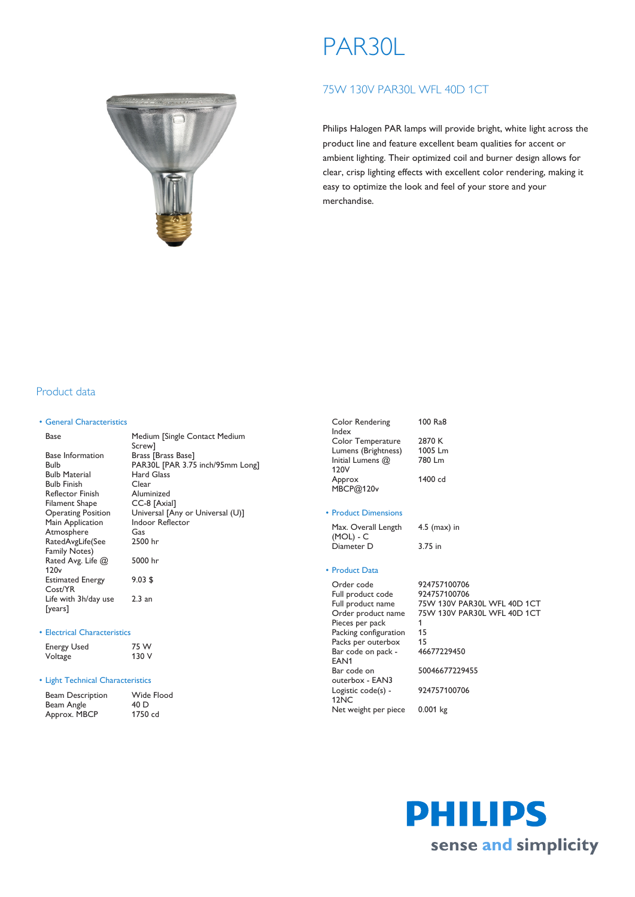# PAR30L

# 75W 130V PAR30L WFL 40D 1CT

Philips Halogen PAR lamps will provide bright, white light across the product line and feature excellent beam qualities for accent or ambient lighting. Their optimized coil and burner design allows for clear, crisp lighting effects with excellent color rendering, making it easy to optimize the look and feel of your store and your merchandise.

## Product data

#### • General Characteristics

| Base                      | Medium [Single Contact Medium    |
|---------------------------|----------------------------------|
|                           | Screw1                           |
| <b>Base Information</b>   | Brass [Brass Base]               |
| Bulb                      | PAR30L [PAR 3.75 inch/95mm Long] |
| <b>Bulb Material</b>      | Hard Glass                       |
| <b>Bulb Finish</b>        | Clear                            |
| <b>Reflector Finish</b>   | Aluminized                       |
| Filament Shape            | CC-8 [Axial]                     |
| <b>Operating Position</b> | Universal [Any or Universal (U)] |
| Main Application          | Indoor Reflector                 |
| Atmosphere                | Gas                              |
| RatedAvgLife(See          | 2500 hr                          |
| <b>Family Notes)</b>      |                                  |
| Rated Avg. Life @         | 5000 hr                          |
| 120v                      |                                  |
| <b>Estimated Energy</b>   | $9.03$ \$                        |
| Cost/YR                   |                                  |
| Life with 3h/day use      | 2.3 an                           |
| [years]                   |                                  |

#### • Electrical Characteristics

| <b>Energy Used</b> | 75 W  |
|--------------------|-------|
| Voltage            | 130 V |

### • Light Technical Characteristics

| <b>Beam Description</b> | Wide Flood |
|-------------------------|------------|
| Beam Angle              | 40 D       |
| Approx. MBCP            | 1750 cd    |

| Color Rendering<br>Index | 100 Ra8 |
|--------------------------|---------|
|                          |         |
| Color Temperature        | 2870 K  |
| Lumens (Brightness)      | 1005 Lm |
| Initial Lumens @         | 780 l m |
| 120V                     |         |
| Approx                   | 1400 cd |
| MBCP@120v                |         |
|                          |         |

#### • Product Dimensions

Max. Overall Length (MOL) - C 4.5 (max) in Diameter D 3.75 in

#### • Product Data

| Order code            | 924757100706                |
|-----------------------|-----------------------------|
| Full product code     | 924757100706                |
| Full product name     | 75W 130V PAR30L WFL 40D 1CT |
| Order product name    | 75W 130V PAR30L WFL 40D 1CT |
| Pieces per pack       |                             |
| Packing configuration | 15                          |
| Packs per outerbox    | 15                          |
| Bar code on pack -    | 46677229450                 |
| EAN <sub>1</sub>      |                             |
| Bar code on           | 50046677229455              |
| outerbox - EAN3       |                             |
| Logistic code(s) -    | 924757100706                |
| 12 <sub>NC</sub>      |                             |
| Net weight per piece  | $0.001$ kg                  |